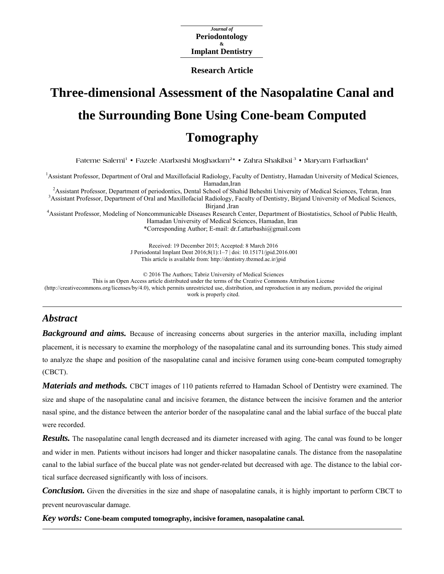*Journal of*  **Periodontology & Implant Dentistry** 

**Research Article**

# **Three-dimensional Assessment of the Nasopalatine Canal and the Surrounding Bone Using Cone-beam Computed Tomography**

**Fateme Salemi1 • Fazele Atarbashi Moghadam2\* • Zahra Shakibai 3 • Maryam Farhadian4**

<sup>1</sup>Assistant Professor, Department of Oral and Maxillofacial Radiology, Faculty of Dentistry, Hamadan University of Medical Sciences, Hamadan,Iran 2

<sup>2</sup> Assistant Professor, Department of periodontics, Dental School of Shahid Beheshti University of Medical Sciences, Tehran, Iran  $\frac{3}{2}$  Assistant Professor, Department of Oral and Mavillafeeial Bedielogy, Feaulty of <sup>3</sup> Assistant Professor, Department of Oral and Maxillofacial Radiology, Faculty of Dentistry, Birjand University of Medical Sciences,

Birjand ,Iran<br>4 Assistant Professor, Modeling of Noncommunicable Diseases Research Center, Department of Biostatistics, School of Public Health, Hamadan University of Medical Sciences, Hamadan, Iran

\*Corresponding Author; E-mail: dr.f.attarbashi@gmail.com

Received: 19 December 2015; Accepted: 8 March 2016 J Periodontal Implant Dent 2016;8(1):1–7 | [doi: 10.15171/jpid.2016.001](http://dx.doi.org/10.15171/jpid.2016.001)  This article is available from: <http://dentistry.tbzmed.ac.ir/jpid>

© 2016 The Authors; Tabriz University of Medical Sciences

This is an Open Access article distributed under the terms of the Creative Commons Attribution License

[\(http://creativecommons.org/licenses/by/4.0](http://creativecommons.org/licenses/by/4.0)), which permits unrestricted use, distribution, and reproduction in any medium, provided the original work is properly cited.

# *Abstract*

*Background and aims.* Because of increasing concerns about surgeries in the anterior maxilla, including implant placement, it is necessary to examine the morphology of the nasopalatine canal and its surrounding bones. This study aimed to analyze the shape and position of the nasopalatine canal and incisive foramen using cone-beam computed tomography (CBCT).

*Materials and methods.* CBCT images of 110 patients referred to Hamadan School of Dentistry were examined. The size and shape of the nasopalatine canal and incisive foramen, the distance between the incisive foramen and the anterior nasal spine, and the distance between the anterior border of the nasopalatine canal and the labial surface of the buccal plate were recorded.

*Results.* The nasopalatine canal length decreased and its diameter increased with aging. The canal was found to be longer and wider in men. Patients without incisors had longer and thicker nasopalatine canals. The distance from the nasopalatine canal to the labial surface of the buccal plate was not gender-related but decreased with age. The distance to the labial cortical surface decreased significantly with loss of incisors.

*Conclusion.* Given the diversities in the size and shape of nasopalatine canals, it is highly important to perform CBCT to prevent neurovascular damage.

*Key words:* **Cone-beam computed tomography, incisive foramen, nasopalatine canal.**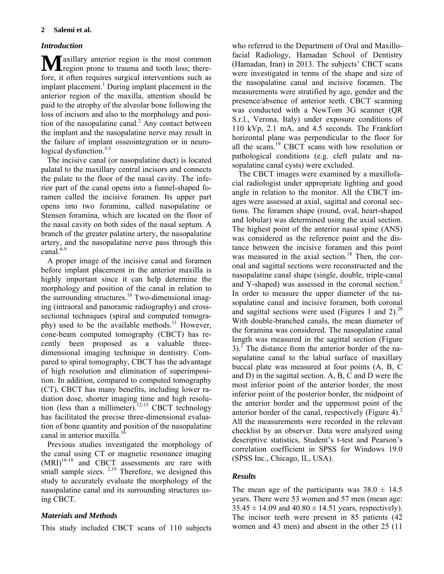#### *Introduction*

**M** axillary anterior region is the most common region prone to trauma and tooth loss; thereregion prone to trauma and tooth loss; therefore, it often requires surgical interventions such as implant placement.<sup>1</sup> During implant placement in the anterior region of the maxilla, attention should be paid to the atrophy of the alveolar bone following the loss of incisors and also to the morphology and position of the nasopalatine canal.<sup>2</sup> Any contact between the implant and the nasopalatine nerve may result in the failure of implant osseointegration or in neurological dysfunction. $3-5$ 

The incisive canal (or nasopalatine duct) is located palatal to the maxillary central incisors and connects the palate to the floor of the nasal cavity. The inferior part of the canal opens into a funnel-shaped foramen called the incisive foramen. Its upper part opens into two foramina, called nasopalatine or Stensen foramina, which are located on the floor of the nasal cavity on both sides of the nasal septum. A branch of the greater palatine artery, the nasopalatine artery, and the nasopalatine nerve pass through this canal.<sup>6-9</sup>

A proper image of the incisive canal and foramen before implant placement in the anterior maxilla is highly important since it can help determine the morphology and position of the canal in relation to the surrounding structures.<sup>10</sup> Two-dimensional imaging (intraoral and panoramic radiography) and crosssectional techniques (spiral and computed tomography) used to be the available methods.<sup>11</sup> However, cone-beam computed tomography (CBCT) has recently been proposed as a valuable threedimensional imaging technique in dentistry. Compared to spiral tomography, CBCT has the advantage of high resolution and elimination of superimposition. In addition, compared to computed tomography (CT), CBCT has many benefits, including lower radiation dose, shorter imaging time and high resolution (less than a millimeter).<sup>12-15</sup> CBCT technology has facilitated the precise three-dimensional evaluation of bone quantity and position of the nasopalatine canal in anterior maxilla.<sup>16</sup>

Previous studies investigated the morphology of the canal using CT or magnetic resonance imaging  $(MRI)^{16-18}$  and CBCT assessments are rare with small sample sizes.  $2,19$  Therefore, we designed this study to accurately evaluate the morphology of the nasopalatine canal and its surrounding structures using CBCT.

## *Materials and Methods*

This study included CBCT scans of 110 subjects

who referred to the Department of Oral and Maxillofacial Radiology, Hamadan School of Dentistry (Hamadan, Iran) in 2013. The subjects' CBCT scans were investigated in terms of the shape and size of the nasopalatine canal and incisive foramen. The measurements were stratified by age, gender and the presence/absence of anterior teeth. CBCT scanning was conducted with a NewTom 3G scanner (QR S.r.l., Verona, Italy) under exposure conditions of 110 kVp, 2.1 mA, and 4.5 seconds. The Frankfort horizontal plane was perpendicular to the floor for all the scans.19 CBCT scans with low resolution or pathological conditions (e.g. cleft palate and nasopalatine canal cysts) were excluded.

The CBCT images were examined by a maxillofacial radiologist under appropriate lighting and good angle in relation to the monitor. All the CBCT images were assessed at axial, sagittal and coronal sections. The foramen shape (round, oval, heart-shaped and lobular) was determined using the axial section. The highest point of the anterior nasal spine (ANS) was considered as the reference point and the distance between the incisive foramen and this point was measured in the axial section.<sup>18</sup> Then, the coronal and sagittal sections were reconstructed and the nasopalatine canal shape (single, double, triple-canal and Y-shaped) was assessed in the coronal section.<sup>2</sup> In order to measure the upper diameter of the nasopalatine canal and incisive foramen, both coronal and sagittal sections were used (Figures 1 and 2).<sup>20</sup> With double-branched canals, the mean diameter of the foramina was considered. The nasopalatine canal length was measured in the sagittal section (Figure  $3$ ).<sup>2</sup> The distance from the anterior border of the nasopalatine canal to the labial surface of maxillary buccal plate was measured at four points (A, B, C and D) in the sagittal section. A, B, C and D were the most inferior point of the anterior border, the most inferior point of the posterior border, the midpoint of the anterior border and the uppermost point of the anterior border of the canal, respectively (Figure 4).<sup>2</sup> All the measurements were recorded in the relevant checklist by an observer. Data were analyzed using descriptive statistics, Student's t-test and Pearson's correlation coefficient in SPSS for Windows 19.0 (SPSS Inc., Chicago, IL, USA).

## *Results*

The mean age of the participants was  $38.0 \pm 14.5$ years. There were 53 women and 57 men (mean age:  $35.45 \pm 14.09$  and  $40.80 \pm 14.51$  years, respectively). The incisor teeth were present in 85 patients (42 women and 43 men) and absent in the other 25 (11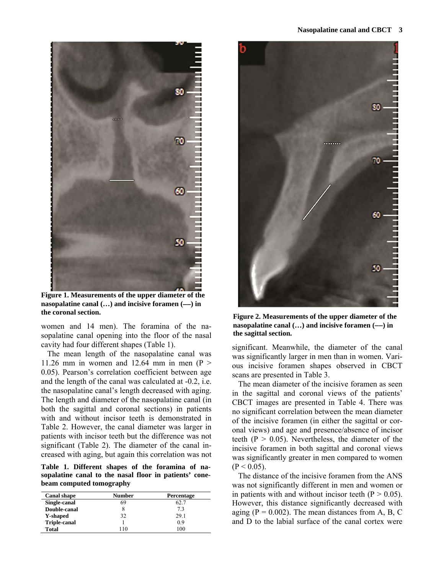

**Figure 1. Measurements of the upper diameter of the nasopalatine canal (...) and incisive foramen (--) in the coronal section. Figure 2. Measurements of the upper diameter of the** 

women and 14 men). The foramina of the nasopalatine canal opening into the floor of the nasal cavity had four different shapes (Table 1).

The mean length of the nasopalatine canal was 11.26 mm in women and 12.64 mm in men  $(P >$ 0.05). Pearson's correlation coefficient between age and the length of the canal was calculated at -0.2, i.e. the nasopalatine canal's length decreased with aging. The length and diameter of the nasopalatine canal (in both the sagittal and coronal sections) in patients with and without incisor teeth is demonstrated in Table 2. However, the canal diameter was larger in patients with incisor teeth but the difference was not significant (Table 2). The diameter of the canal increased with aging, but again this correlation was not

**Table 1. Different shapes of the foramina of nasopalatine canal to the nasal floor in patients' conebeam computed tomography** 

| <b>Canal shape</b>  | Number | Percentage |  |
|---------------------|--------|------------|--|
| Single-canal        | 69     | 62.7       |  |
| Double-canal        |        | 7.3        |  |
| <b>Y-shaped</b>     | 32     | 29.1       |  |
| <b>Triple-canal</b> |        | 09         |  |
| Total               | 10     | 100        |  |



**nasopalatine canal (...) and incisive foramen (--) in the sagittal section.** 

significant. Meanwhile, the diameter of the canal was significantly larger in men than in women. Various incisive foramen shapes observed in CBCT scans are presented in Table 3.

The mean diameter of the incisive foramen as seen in the sagittal and coronal views of the patients' CBCT images are presented in Table 4. There was no significant correlation between the mean diameter of the incisive foramen (in either the sagittal or coronal views) and age and presence/absence of incisor teeth ( $P > 0.05$ ). Nevertheless, the diameter of the incisive foramen in both sagittal and coronal views was significantly greater in men compared to women  $(P < 0.05)$ .

The distance of the incisive foramen from the ANS was not significantly different in men and women or in patients with and without incisor teeth  $(P > 0.05)$ . However, this distance significantly decreased with aging  $(P = 0.002)$ . The mean distances from A, B, C and D to the labial surface of the canal cortex were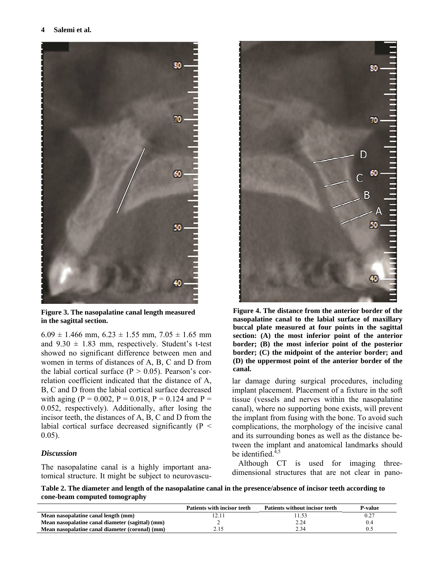

**Figure 3. The nasopalatine canal length measured in the sagittal section.** 

 $6.09 \pm 1.466$  mm,  $6.23 \pm 1.55$  mm,  $7.05 \pm 1.65$  mm and  $9.30 \pm 1.83$  mm, respectively. Student's t-test showed no significant difference between men and women in terms of distances of A, B, C and D from the labial cortical surface  $(P > 0.05)$ . Pearson's correlation coefficient indicated that the distance of A, B, C and D from the labial cortical surface decreased with aging (P = 0.002, P = 0.018, P = 0.124 and P = 0.052, respectively). Additionally, after losing the incisor teeth, the distances of A, B, C and D from the labial cortical surface decreased significantly (P < 0.05).

#### *Discussion*

The nasopalatine canal is a highly important anatomical structure. It might be subject to neurovascu-



**Figure 4. The distance from the anterior border of the nasopalatine canal to the labial surface of maxillary buccal plate measured at four points in the sagittal section: (A) the most inferior point of the anterior border; (B) the most inferior point of the posterior border; (C) the midpoint of the anterior border; and (D) the uppermost point of the anterior border of the canal.** 

lar damage during surgical procedures, including implant placement. Placement of a fixture in the soft tissue (vessels and nerves within the nasopalatine canal), where no supporting bone exists, will prevent the implant from fusing with the bone. To avoid such complications, the morphology of the incisive canal and its surrounding bones as well as the distance between the implant and anatomical landmarks should be identified. $4,5$ 

Although CT is used for imaging threedimensional structures that are not clear in pano-

**Table 2. The diameter and length of the nasopalatine canal in the presence/absence of incisor teeth according to cone-beam computed tomography** 

|                                                  | <b>Patients with incisor teeth</b> | <b>Patients without incisor teeth</b> | P-value |
|--------------------------------------------------|------------------------------------|---------------------------------------|---------|
| Mean nasopalatine canal length (mm)              |                                    |                                       |         |
| Mean nasopalatine canal diameter (sagittal) (mm) |                                    | 2.24                                  |         |
| Mean nasopalatine canal diameter (coronal) (mm)  |                                    | 2.34                                  |         |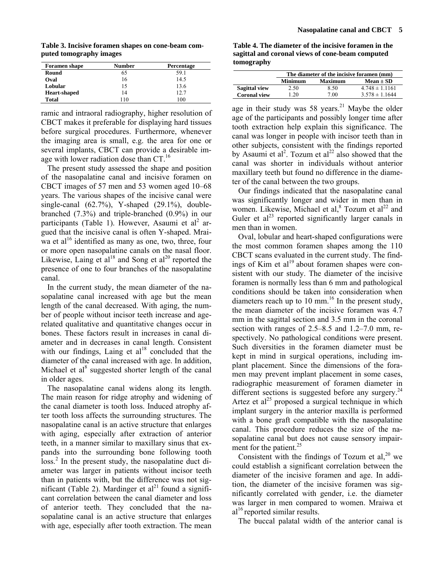**Table 3. Incisive foramen shapes on cone-beam computed tomography images** 

| <b>Foramen</b> shape | <b>Number</b> | Percentage |
|----------------------|---------------|------------|
| Round                | 65            | 59.1       |
| Oval                 | 16            | 14.5       |
| Lobular              | 15            | 13.6       |
| <b>Heart-shaped</b>  | 14            | 12.7       |
| <b>Total</b>         | 110           | 100        |

ramic and intraoral radiography, higher resolution of CBCT makes it preferable for displaying hard tissues before surgical procedures. Furthermore, whenever the imaging area is small, e.g. the area for one or several implants, CBCT can provide a desirable image with lower radiation dose than  $CT.^{16}$ 

The present study assessed the shape and position of the nasopalatine canal and incisive foramen on CBCT images of 57 men and 53 women aged 10‒68 years. The various shapes of the incisive canal were single-canal (62.7%), Y-shaped (29.1%), doublebranched (7.3%) and triple-branched (0.9%) in our participants (Table 1). However, Asaumi et al<sup>2</sup> argued that the incisive canal is often Y-shaped. Mraiwa et al<sup>16</sup> identified as many as one, two, three, four or more open nasopalatine canals on the nasal floor. Likewise, Laing et  $al^{18}$  and Song et  $al^{20}$  reported the presence of one to four branches of the nasopalatine canal.

In the current study, the mean diameter of the nasopalatine canal increased with age but the mean length of the canal decreased. With aging, the number of people without incisor teeth increase and agerelated qualitative and quantitative changes occur in bones. These factors result in increases in canal diameter and in decreases in canal length. Consistent with our findings, Laing et  $al<sup>18</sup>$  concluded that the diameter of the canal increased with age. In addition, Michael et al<sup>8</sup> suggested shorter length of the canal in older ages.

The nasopalatine canal widens along its length. The main reason for ridge atrophy and widening of the canal diameter is tooth loss. Induced atrophy after tooth loss affects the surrounding structures. The nasopalatine canal is an active structure that enlarges with aging, especially after extraction of anterior teeth, in a manner similar to maxillary sinus that expands into the surrounding bone following tooth loss.<sup>2</sup> In the present study, the nasopalatine duct diameter was larger in patients without incisor teeth than in patients with, but the difference was not significant (Table 2). Mardinger et  $al<sup>21</sup>$  found a significant correlation between the canal diameter and loss of anterior teeth. They concluded that the nasopalatine canal is an active structure that enlarges with age, especially after tooth extraction. The mean

**Table 4. The diameter of the incisive foramen in the sagittal and coronal views of cone-beam computed tomography** 

|                      | The diameter of the incisive foramen (mm) |                |                    |  |
|----------------------|-------------------------------------------|----------------|--------------------|--|
|                      | <b>Minimum</b>                            | <b>Maximum</b> | $Mean \pm SD$      |  |
| <b>Sagittal view</b> | 2.50                                      | 8.50           | $4.748 \pm 1.1161$ |  |
| <b>Coronal view</b>  | -20                                       | 7.00           | $3.578 \pm 1.1644$ |  |
|                      |                                           |                |                    |  |

age in their study was 58 years.<sup>21</sup> Maybe the older age of the participants and possibly longer time after tooth extraction help explain this significance. The canal was longer in people with incisor teeth than in other subjects, consistent with the findings reported by Asaumi et al<sup>2</sup>. Tozum et al<sup>22</sup> also showed that the canal was shorter in individuals without anterior maxillary teeth but found no difference in the diameter of the canal between the two groups.

Our findings indicated that the nasopalatine canal was significantly longer and wider in men than in women. Likewise, Michael et al, $8$  Tozum et al<sup>22</sup> and Guler et  $al^{23}$  reported significantly larger canals in men than in women.

Oval, lobular and heart-shaped configurations were the most common foramen shapes among the 110 CBCT scans evaluated in the current study. The findings of Kim et al<sup>19</sup> about foramen shapes were consistent with our study. The diameter of the incisive foramen is normally less than 6 mm and pathological conditions should be taken into consideration when diameters reach up to 10 mm.<sup>16</sup> In the present study, the mean diameter of the incisive foramen was 4.7 mm in the sagittal section and 3.5 mm in the coronal section with ranges of  $2.5-8.5$  and  $1.2-7.0$  mm, respectively. No pathological conditions were present. Such diversities in the foramen diameter must be kept in mind in surgical operations, including implant placement. Since the dimensions of the foramen may prevent implant placement in some cases, radiographic measurement of foramen diameter in different sections is suggested before any surgery.<sup>24</sup> Artez et al<sup>25</sup> proposed a surgical technique in which implant surgery in the anterior maxilla is performed with a bone graft compatible with the nasopalatine canal. This procedure reduces the size of the nasopalatine canal but does not cause sensory impairment for the patient. $25$ 

Consistent with the findings of Tozum et al,  $^{20}$  we could establish a significant correlation between the diameter of the incisive foramen and age. In addition, the diameter of the incisive foramen was significantly correlated with gender, i.e. the diameter was larger in men compared to women. Mraiwa et  $al<sup>16</sup>$  reported similar results.

The buccal palatal width of the anterior canal is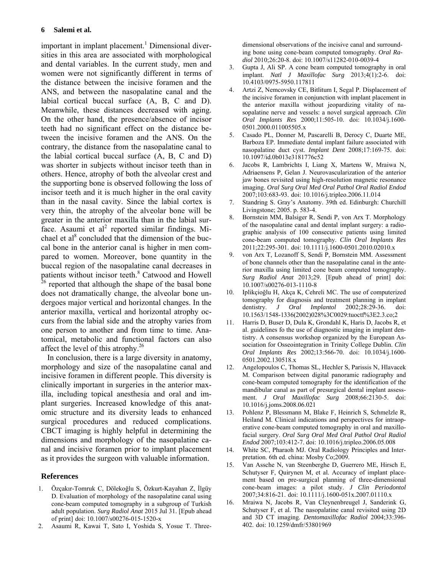important in implant placement.<sup>1</sup> Dimensional diversities in this area are associated with morphological and dental variables. In the current study, men and women were not significantly different in terms of the distance between the incisive foramen and the ANS, and between the nasopalatine canal and the labial cortical buccal surface (A, B, C and D). Meanwhile, these distances decreased with aging. On the other hand, the presence/absence of incisor teeth had no significant effect on the distance between the incisive foramen and the ANS. On the contrary, the distance from the nasopalatine canal to the labial cortical buccal surface (A, B, C and D) was shorter in subjects without incisor teeth than in others. Hence, atrophy of both the alveolar crest and the supporting bone is observed following the loss of incisor teeth and it is much higher in the oral cavity than in the nasal cavity. Since the labial cortex is very thin, the atrophy of the alveolar bone will be greater in the anterior maxilla than in the labial surface. Asaumi et  $al^2$  reported similar findings. Michael et al<sup>8</sup> concluded that the dimension of the buccal bone in the anterior canal is higher in men compared to women. Moreover, bone quantity in the buccal region of the nasopalatine canal decreases in patients without incisor teeth.<sup>8</sup> Catwood and Howell  $26$  reported that although the shape of the basal bone does not dramatically change, the alveolar bone undergoes major vertical and horizontal changes. In the anterior maxilla, vertical and horizontal atrophy occurs from the labial side and the atrophy varies from one person to another and from time to time. Anatomical, metabolic and functional factors can also affect the level of this atrophy.26

In conclusion, there is a large diversity in anatomy, morphology and size of the nasopalatine canal and incisive foramen in different people. This diversity is clinically important in surgeries in the anterior maxilla, including topical anesthesia and oral and implant surgeries. Increased knowledge of this anatomic structure and its diversity leads to enhanced surgical procedures and reduced complications. CBCT imaging is highly helpful in determining the dimensions and morphology of the nasopalatine canal and incisive foramen prior to implant placement as it provides the surgeon with valuable information.

#### **References**

- 1. [Özçakır-Tomruk C,](http://www.ncbi.nlm.nih.gov/pubmed/?term=%C3%96z%C3%A7ak%C4%B1r-Tomruk%20C%5BAuthor%5D&cauthor=true&cauthor_uid=26228382) [Döleko](http://www.ncbi.nlm.nih.gov/pubmed/?term=D%C3%B6leko%C4%9Flu%20S%5BAuthor%5D&cauthor=true&cauthor_uid=26228382)ğlu S, [Özkurt-Kayahan Z](http://www.ncbi.nlm.nih.gov/pubmed/?term=%C3%96zkurt-Kayahan%20Z%5BAuthor%5D&cauthor=true&cauthor_uid=26228382), İ[lgüy](http://www.ncbi.nlm.nih.gov/pubmed/?term=%C4%B0lg%C3%BCy%20D%5BAuthor%5D&cauthor=true&cauthor_uid=26228382)  [D](http://www.ncbi.nlm.nih.gov/pubmed/?term=%C4%B0lg%C3%BCy%20D%5BAuthor%5D&cauthor=true&cauthor_uid=26228382). Evaluation of morphology of the nasopalatine canal using cone-beam computed tomography in a subgroup of Turkish adult population. *[Surg Radiol Anat](http://www.ncbi.nlm.nih.gov/pubmed/26228382)* 2015 Jul 31. [Epub ahead of print] doi: 10.1007/s00276-015-1520-x
- 2. Asaumi R, Kawai T, Sato I, Yoshida S, Yosue T. Three-

dimensional observations of the incisive canal and surrounding bone using cone-beam computed tomography. *Oral Radiol* 2010;26:20-8. doi: 10.1007/s11282-010-0039-4

- 3. Gupta J, Ali SP. A cone beam computed tomography in oral implant. *Natl J Maxillofac Surg* 2013;4(1):2-6. doi: 10.4103/0975-5950.117811
- 4. [Artzi Z,](http://www.ncbi.nlm.nih.gov/pubmed?term=Artzi%20Z%5BAuthor%5D&cauthor=true&cauthor_uid=11168243) [Nemcovsky CE,](http://www.ncbi.nlm.nih.gov/pubmed?term=Nemcovsky%20CE%5BAuthor%5D&cauthor=true&cauthor_uid=11168243) [Bitlitum I](http://www.ncbi.nlm.nih.gov/pubmed?term=Bitlitum%20I%5BAuthor%5D&cauthor=true&cauthor_uid=11168243), [Segal P.](http://www.ncbi.nlm.nih.gov/pubmed?term=Segal%20P%5BAuthor%5D&cauthor=true&cauthor_uid=11168243) Displacement of the incisive foramen in conjunction with implant placement in the anterior maxilla without jeopardizing vitality of nasopalatine nerve and vessels: a novel surgical approach. *[Clin](http://www.ncbi.nlm.nih.gov/pubmed/11168243##)  [Oral Implants Res](http://www.ncbi.nlm.nih.gov/pubmed/11168243##)* 2000;11:505-10. doi: 10.1034/j.1600- 0501.2000.011005505.x
- 5. [Casado PL,](http://www.ncbi.nlm.nih.gov/pubmed?term=Casado%20PL%5BAuthor%5D&cauthor=true&cauthor_uid=18545048) [Donner M,](http://www.ncbi.nlm.nih.gov/pubmed?term=Donner%20M%5BAuthor%5D&cauthor=true&cauthor_uid=18545048) [Pascarelli B](http://www.ncbi.nlm.nih.gov/pubmed?term=Pascarelli%20B%5BAuthor%5D&cauthor=true&cauthor_uid=18545048), [Derocy C,](http://www.ncbi.nlm.nih.gov/pubmed?term=Derocy%20C%5BAuthor%5D&cauthor=true&cauthor_uid=18545048) [Duarte ME,](http://www.ncbi.nlm.nih.gov/pubmed?term=Duarte%20ME%5BAuthor%5D&cauthor=true&cauthor_uid=18545048) [Barboza EP.](http://www.ncbi.nlm.nih.gov/pubmed?term=Barboza%20EP%5BAuthor%5D&cauthor=true&cauthor_uid=18545048) Immediate dental implant failure associated with nasopalatine duct cyst. *[Implant Dent](http://www.ncbi.nlm.nih.gov/pubmed/?term=Immediate+dental+implant+failure+associated+with+nasopalatine+duct+cyst##)* 2008;17:169-75. doi: 10.1097/id.0b013e3181776c52
- 6. [Jacobs R,](http://www.ncbi.nlm.nih.gov/pubmed?term=Jacobs%20R%5BAuthor%5D&cauthor=true&cauthor_uid=17320428) [Lambrichts I](http://www.ncbi.nlm.nih.gov/pubmed?term=Lambrichts%20I%5BAuthor%5D&cauthor=true&cauthor_uid=17320428), [Liang X,](http://www.ncbi.nlm.nih.gov/pubmed?term=Liang%20X%5BAuthor%5D&cauthor=true&cauthor_uid=17320428) [Martens W,](http://www.ncbi.nlm.nih.gov/pubmed?term=Martens%20W%5BAuthor%5D&cauthor=true&cauthor_uid=17320428) [Mraiwa N,](http://www.ncbi.nlm.nih.gov/pubmed?term=Mraiwa%20N%5BAuthor%5D&cauthor=true&cauthor_uid=17320428) [Adriaensens P](http://www.ncbi.nlm.nih.gov/pubmed?term=Adriaensens%20P%5BAuthor%5D&cauthor=true&cauthor_uid=17320428), [Gelan J](http://www.ncbi.nlm.nih.gov/pubmed?term=Gelan%20J%5BAuthor%5D&cauthor=true&cauthor_uid=17320428). Neurovascularization of the anterior jaw bones revisited using high-resolution magnetic resonance imaging. *[Oral Surg Oral Med Oral Pathol Oral Radiol Endod](http://www.ncbi.nlm.nih.gov/pubmed/?term=Neurovascularization+of+the+anterior+jaw+bones+revisited+using+high-resolution+magnetic+resonance+imaging##)* 2007;103:683-93. doi: 10.1016/j.tripleo.2006.11.014
- 7. Standring S. Gray's Anatomy. 39th ed. Edinburgh: Churchill Livingstone; 2005. p. 583-4.
- 8. [Bornstein MM](http://www.ncbi.nlm.nih.gov/pubmed?term=Bornstein%20MM%5BAuthor%5D&cauthor=true&cauthor_uid=21039896), [Balsiger R](http://www.ncbi.nlm.nih.gov/pubmed?term=Balsiger%20R%5BAuthor%5D&cauthor=true&cauthor_uid=21039896), [Sendi P,](http://www.ncbi.nlm.nih.gov/pubmed?term=Sendi%20P%5BAuthor%5D&cauthor=true&cauthor_uid=21039896) [von Arx T.](http://www.ncbi.nlm.nih.gov/pubmed?term=von%20Arx%20T%5BAuthor%5D&cauthor=true&cauthor_uid=21039896) Morphology of the nasopalatine canal and dental implant surgery: a radiographic analysis of 100 consecutive patients using limited cone-beam computed tomography. *[Clin Oral Implants Res](http://www.ncbi.nlm.nih.gov/pubmed/?term=Morphology+of+the+nasopalatine+canal+and+dental+implant+surgery%3A+A+radiographic+analysis+of+100+consecutive+patients+using+limited+cone+beam+computed+tomography.+Clinical+oral+implants+research##)* 2011;22:295-301. doi: 10.1111/j.1600-0501.2010.02010.x
- 9. [von Arx T](http://www.ncbi.nlm.nih.gov/pubmed?term=von%20Arx%20T%5BAuthor%5D&cauthor=true&cauthor_uid=23539212), [Lozanoff S](http://www.ncbi.nlm.nih.gov/pubmed?term=Lozanoff%20S%5BAuthor%5D&cauthor=true&cauthor_uid=23539212), [Sendi P](http://www.ncbi.nlm.nih.gov/pubmed?term=Sendi%20P%5BAuthor%5D&cauthor=true&cauthor_uid=23539212), [Bornstein MM](http://www.ncbi.nlm.nih.gov/pubmed?term=Bornstein%20MM%5BAuthor%5D&cauthor=true&cauthor_uid=23539212). Assessment of bone channels other than the nasopalatine canal in the anterior maxilla using limited cone beam computed tomography. *[Surg Radiol Anat](http://www.ncbi.nlm.nih.gov/pubmed/?term=Assessment+of+bone+channels+other+than+the+nasopalatine+canal+in+the+anterior+maxilla+using+limited+cone+beam+computed+tomography.##)* 2013;29. [Epub ahead of print] doi: 10.1007/s00276-013-1110-8
- 10. [Iplikçio](http://www.ncbi.nlm.nih.gov/pubmed?term=Iplik%C3%A7io%C4%9Flu%20H%5BAuthor%5D&cauthor=true&cauthor_uid=12498461)ğlu H, [Akça K](http://www.ncbi.nlm.nih.gov/pubmed?term=Ak%C3%A7a%20K%5BAuthor%5D&cauthor=true&cauthor_uid=12498461), [Cehreli MC](http://www.ncbi.nlm.nih.gov/pubmed?term=Cehreli%20MC%5BAuthor%5D&cauthor=true&cauthor_uid=12498461). The use of computerized tomography for diagnosis and treatment planning in implant dentistry. *[J Oral Implantol](http://www.ncbi.nlm.nih.gov/pubmed/12498461##)* 2002;28:29-36. doi: 10.1563/1548-1336(2002)028%3C0029:tuoctf%3E2.3.co;2
- 11. [Harris D,](http://www.ncbi.nlm.nih.gov/pubmed?term=Harris%20D%5BAuthor%5D&cauthor=true&cauthor_uid=12674118) [Buser D](http://www.ncbi.nlm.nih.gov/pubmed?term=Buser%20D%5BAuthor%5D&cauthor=true&cauthor_uid=12674118), [Dula K](http://www.ncbi.nlm.nih.gov/pubmed?term=Dula%20K%5BAuthor%5D&cauthor=true&cauthor_uid=12674118), [Grondahl K,](http://www.ncbi.nlm.nih.gov/pubmed?term=Grondahl%20K%5BAuthor%5D&cauthor=true&cauthor_uid=12674118) [Haris D,](http://www.ncbi.nlm.nih.gov/pubmed?term=Haris%20D%5BAuthor%5D&cauthor=true&cauthor_uid=12674118) [Jacobs R,](http://www.ncbi.nlm.nih.gov/pubmed?term=Jacobs%20R%5BAuthor%5D&cauthor=true&cauthor_uid=12674118) et al. guidelines fo the use of diagnostic imaging in implant dentistry. A consensus workshop organized by the European Association for Osseointegration in Trinity College Dublin. *[Clin](http://www.ncbi.nlm.nih.gov/pubmed/12674118##)  [Oral Implants Res](http://www.ncbi.nlm.nih.gov/pubmed/12674118##)* 2002;13:566-70. doi: 10.1034/j.1600- 0501.2002.130518.x
- 12. [Angelopoulos C](http://www.ncbi.nlm.nih.gov/pubmed?term=Angelopoulos%20C%5BAuthor%5D&cauthor=true&cauthor_uid=18848113), [Thomas SL,](http://www.ncbi.nlm.nih.gov/pubmed?term=Thomas%20SL%5BAuthor%5D&cauthor=true&cauthor_uid=18848113) [Hechler S](http://www.ncbi.nlm.nih.gov/pubmed?term=Hechler%20S%5BAuthor%5D&cauthor=true&cauthor_uid=18848113), [Parissis N](http://www.ncbi.nlm.nih.gov/pubmed?term=Parissis%20N%5BAuthor%5D&cauthor=true&cauthor_uid=18848113), [Hlavacek](http://www.ncbi.nlm.nih.gov/pubmed?term=Hlavacek%20M%5BAuthor%5D&cauthor=true&cauthor_uid=18848113)  [M](http://www.ncbi.nlm.nih.gov/pubmed?term=Hlavacek%20M%5BAuthor%5D&cauthor=true&cauthor_uid=18848113). Comparison between digital panoramic radiography and cone-beam computed tomography for the identification of the mandibular canal as part of presurgical dental implant assessment. *[J Oral Maxillofac Surg](http://www.ncbi.nlm.nih.gov/pubmed/18848113##)* 2008;66:2130-5. doi: 10.1016/j.joms.2008.06.021
- 13. [Pohlenz P](http://www.ncbi.nlm.nih.gov/pubmed?term=Pohlenz%20P%5BAuthor%5D&cauthor=true&cauthor_uid=17321455), [Blessmann M](http://www.ncbi.nlm.nih.gov/pubmed?term=Blessmann%20M%5BAuthor%5D&cauthor=true&cauthor_uid=17321455), [Blake F](http://www.ncbi.nlm.nih.gov/pubmed?term=Blake%20F%5BAuthor%5D&cauthor=true&cauthor_uid=17321455), [Heinrich S,](http://www.ncbi.nlm.nih.gov/pubmed?term=Heinrich%20S%5BAuthor%5D&cauthor=true&cauthor_uid=17321455) [Schmelzle R,](http://www.ncbi.nlm.nih.gov/pubmed?term=Schmelzle%20R%5BAuthor%5D&cauthor=true&cauthor_uid=17321455) [Heiland M](http://www.ncbi.nlm.nih.gov/pubmed?term=Heiland%20M%5BAuthor%5D&cauthor=true&cauthor_uid=17321455). Clinical indications and perspectives for intraoperative cone-beam computed tomography in oral and maxillofacial surgery. *[Oral Surg Oral Med Oral Pathol Oral Radiol](http://www.ncbi.nlm.nih.gov/pubmed/?term=indications+and+perspectives+for+intraoperative+cone+beam+computed+tomography+in+oral+and+maxillofacial+surgery##)  [Endod](http://www.ncbi.nlm.nih.gov/pubmed/?term=indications+and+perspectives+for+intraoperative+cone+beam+computed+tomography+in+oral+and+maxillofacial+surgery##)* 2007;103:412-7. doi: 10.1016/j.tripleo.2006.05.008
- 14. White SC, Pharaoh MJ. Oral Radiology Principles and Interpretation. 6th ed. china: Mosby Co;2009.
- 15. [Van Assche N](http://www.ncbi.nlm.nih.gov/pubmed?term=Van%20Assche%20N%5BAuthor%5D&cauthor=true&cauthor_uid=17716317), [van Steenberghe D,](http://www.ncbi.nlm.nih.gov/pubmed?term=van%20Steenberghe%20D%5BAuthor%5D&cauthor=true&cauthor_uid=17716317) [Guerrero ME](http://www.ncbi.nlm.nih.gov/pubmed?term=Guerrero%20ME%5BAuthor%5D&cauthor=true&cauthor_uid=17716317), [Hirsch E,](http://www.ncbi.nlm.nih.gov/pubmed?term=Hirsch%20E%5BAuthor%5D&cauthor=true&cauthor_uid=17716317) [Schutyser F,](http://www.ncbi.nlm.nih.gov/pubmed?term=Schutyser%20F%5BAuthor%5D&cauthor=true&cauthor_uid=17716317) [Quirynen M,](http://www.ncbi.nlm.nih.gov/pubmed?term=Quirynen%20M%5BAuthor%5D&cauthor=true&cauthor_uid=17716317) et al. Accuracy of implant placement based on pre-surgical planning of three-dimensional cone-beam images: a pilot study. *[J Clin Periodontol](http://www.ncbi.nlm.nih.gov/pubmed/17716317##)* 2007;34:816-21. doi: 10.1111/j.1600-051x.2007.01110.x
- 16. Mraiwa N, Jacobs R, Van Cleynenbreugel J, Sanderink G, Schutyser F, et al. The nasopalatine canal revisited using 2D and 3D CT imaging. *Dentomaxillofac Radiol* 2004;33:396- 402. doi: 10.1259/dmfr/53801969